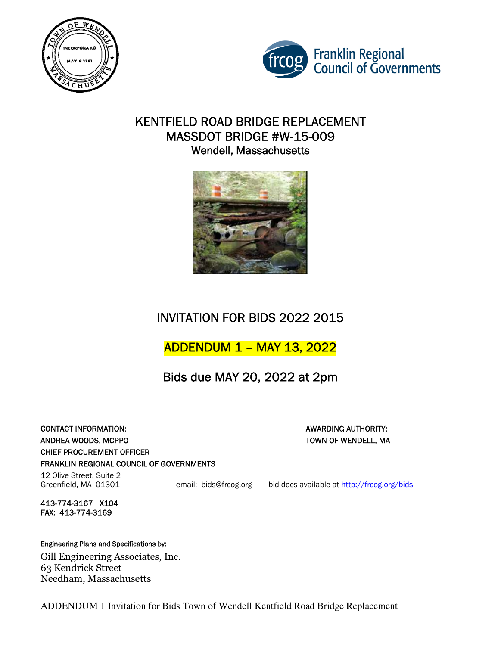



### KENTFIELD ROAD BRIDGE REPLACEMENT MASSDOT BRIDGE #W-15-009 Wendell, Massachusetts



# INVITATION FOR BIDS 2022 2015

## ADDENDUM 1 – MAY 13, 2022

Bids due MAY 20, 2022 at 2pm

CONTACT INFORMATION: AWARDING AUTHORITY: ANDREA WOODS, MCPPO TOWN OF WENDELL, MA CHIEF PROCUREMENT OFFICER FRANKLIN REGIONAL COUNCIL OF GOVERNMENTS

12 Olive Street, Suite 2

413-774-3167 X104 FAX: 413-774-3169

Engineering Plans and Specifications by:

Gill Engineering Associates, Inc. 63 Kendrick Street Needham, Massachusetts

ADDENDUM 1 Invitation for Bids Town of Wendell Kentfield Road Bridge Replacement

Greenfield, MA 01301 email: bids@frcog.org bid docs available at http://frcog.org/bids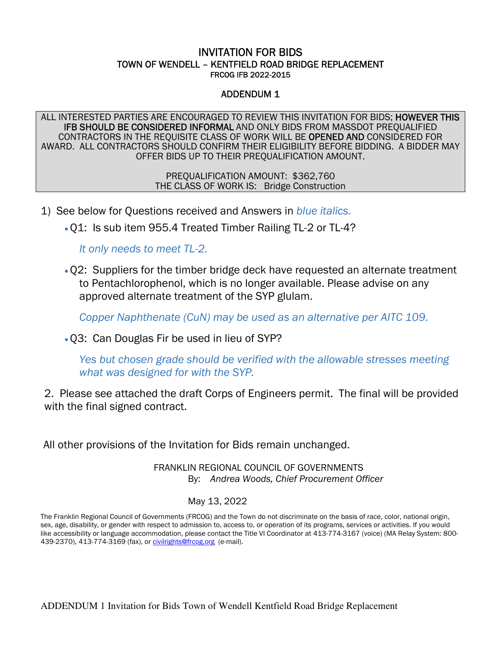### INVITATION FOR BIDS TOWN OF WENDELL – KENTFIELD ROAD BRIDGE REPLACEMENT FRCOG IFB 2022-2015

### ADDENDUM 1

ALL INTERESTED PARTIES ARE ENCOURAGED TO REVIEW THIS INVITATION FOR BIDS; HOWEVER THIS IFB SHOULD BE CONSIDERED INFORMAL AND ONLY BIDS FROM MASSDOT PREQUALIFIED CONTRACTORS IN THE REQUISITE CLASS OF WORK WILL BE OPENED AND CONSIDERED FOR AWARD. ALL CONTRACTORS SHOULD CONFIRM THEIR ELIGIBILITY BEFORE BIDDING. A BIDDER MAY OFFER BIDS UP TO THEIR PREQUALIFICATION AMOUNT.

> PREQUALIFICATION AMOUNT: \$362,760 THE CLASS OF WORK IS: Bridge Construction

- 1) See below for Questions received and Answers in *blue italics.*
	- •Q1: Is sub item 955.4 Treated Timber Railing TL-2 or TL-4?

*It only needs to meet TL-2.* 

•Q2: Suppliers for the timber bridge deck have requested an alternate treatment to Pentachlorophenol, which is no longer available. Please advise on any approved alternate treatment of the SYP glulam.

*Copper Naphthenate (CuN) may be used as an alternative per AITC 109.* 

•Q3: Can Douglas Fir be used in lieu of SYP?

*Yes but chosen grade should be verified with the allowable stresses meeting what was designed for with the SYP.* 

2. Please see attached the draft Corps of Engineers permit. The final will be provided with the final signed contract.

All other provisions of the Invitation for Bids remain unchanged.

 FRANKLIN REGIONAL COUNCIL OF GOVERNMENTS By: *Andrea Woods, Chief Procurement Officer* 

#### May 13, 2022

The Franklin Regional Council of Governments (FRCOG) and the Town do not discriminate on the basis of race, color, national origin, sex, age, disability, or gender with respect to admission to, access to, or operation of its programs, services or activities. If you would like accessibility or language accommodation, please contact the Title VI Coordinator at 413-774-3167 (voice) (MA Relay System: 800- 439-2370), 413-774-3169 (fax), o[r civilrights@frcog.org](mailto:civilrights@frcog.org) (e-mail).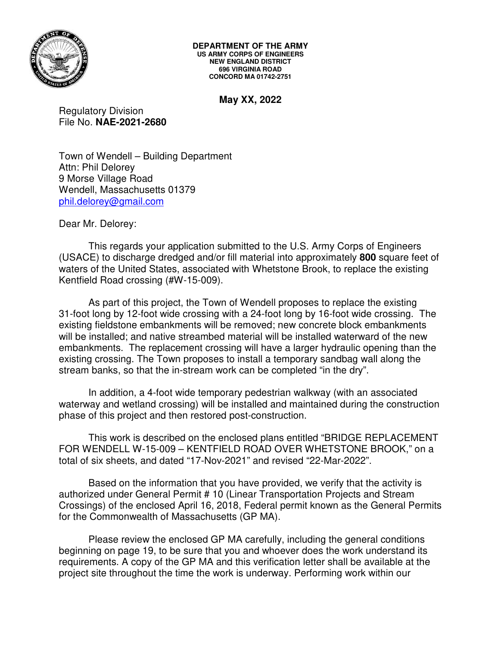

**May XX, 2022** 

Regulatory Division File No. **NAE-2021-2680**

Town of Wendell – Building Department Attn: Phil Delorey 9 Morse Village Road Wendell, Massachusetts 01379 [phil.delorey@gmail.com](mailto:phil.delorey@gmail.com) 

Dear Mr. Delorey:

 This regards your application submitted to the U.S. Army Corps of Engineers (USACE) to discharge dredged and/or fill material into approximately **800** square feet of waters of the United States, associated with Whetstone Brook, to replace the existing Kentfield Road crossing (#W-15-009).

 As part of this project, the Town of Wendell proposes to replace the existing 31-foot long by 12-foot wide crossing with a 24-foot long by 16-foot wide crossing. The existing fieldstone embankments will be removed; new concrete block embankments will be installed; and native streambed material will be installed waterward of the new embankments. The replacement crossing will have a larger hydraulic opening than the existing crossing. The Town proposes to install a temporary sandbag wall along the stream banks, so that the in-stream work can be completed "in the dry".

 In addition, a 4-foot wide temporary pedestrian walkway (with an associated waterway and wetland crossing) will be installed and maintained during the construction phase of this project and then restored post-construction.

 This work is described on the enclosed plans entitled "BRIDGE REPLACEMENT FOR WENDELL W-15-009 – KENTFIELD ROAD OVER WHETSTONE BROOK," on a total of six sheets, and dated "17-Nov-2021" and revised "22-Mar-2022".

 Based on the information that you have provided, we verify that the activity is authorized under General Permit # 10 (Linear Transportation Projects and Stream Crossings) of the enclosed April 16, 2018, Federal permit known as the General Permits for the Commonwealth of Massachusetts (GP MA).

 Please review the enclosed GP MA carefully, including the general conditions beginning on page 19, to be sure that you and whoever does the work understand its requirements. A copy of the GP MA and this verification letter shall be available at the project site throughout the time the work is underway. Performing work within our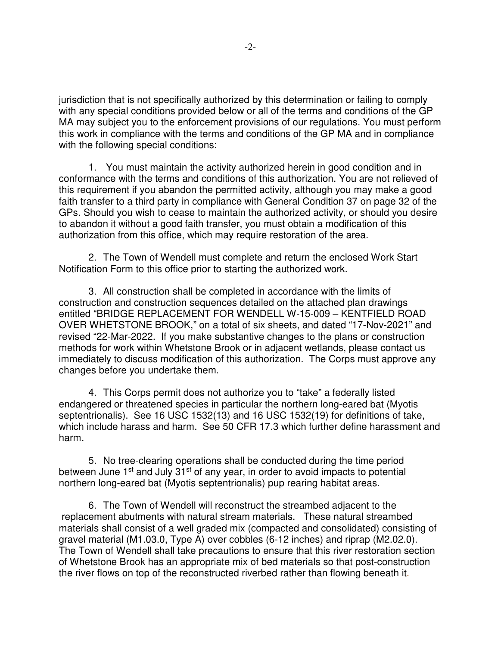jurisdiction that is not specifically authorized by this determination or failing to comply with any special conditions provided below or all of the terms and conditions of the GP MA may subject you to the enforcement provisions of our regulations. You must perform this work in compliance with the terms and conditions of the GP MA and in compliance with the following special conditions:

1. You must maintain the activity authorized herein in good condition and in conformance with the terms and conditions of this authorization. You are not relieved of this requirement if you abandon the permitted activity, although you may make a good faith transfer to a third party in compliance with General Condition 37 on page 32 of the GPs. Should you wish to cease to maintain the authorized activity, or should you desire to abandon it without a good faith transfer, you must obtain a modification of this authorization from this office, which may require restoration of the area.

2. The Town of Wendell must complete and return the enclosed Work Start Notification Form to this office prior to starting the authorized work.

3. All construction shall be completed in accordance with the limits of construction and construction sequences detailed on the attached plan drawings entitled "BRIDGE REPLACEMENT FOR WENDELL W-15-009 – KENTFIELD ROAD OVER WHETSTONE BROOK," on a total of six sheets, and dated "17-Nov-2021" and revised "22-Mar-2022. If you make substantive changes to the plans or construction methods for work within Whetstone Brook or in adjacent wetlands, please contact us immediately to discuss modification of this authorization. The Corps must approve any changes before you undertake them.

4. This Corps permit does not authorize you to "take" a federally listed endangered or threatened species in particular the northern long-eared bat (Myotis septentrionalis). See 16 USC 1532(13) and 16 USC 1532(19) for definitions of take, which include harass and harm. See 50 CFR 17.3 which further define harassment and harm.

5. No tree-clearing operations shall be conducted during the time period between June 1<sup>st</sup> and July 31<sup>st</sup> of any year, in order to avoid impacts to potential northern long-eared bat (Myotis septentrionalis) pup rearing habitat areas.

6. The Town of Wendell will reconstruct the streambed adjacent to the replacement abutments with natural stream materials. These natural streambed materials shall consist of a well graded mix (compacted and consolidated) consisting of gravel material (M1.03.0, Type A) over cobbles (6-12 inches) and riprap (M2.02.0). The Town of Wendell shall take precautions to ensure that this river restoration section of Whetstone Brook has an appropriate mix of bed materials so that post-construction the river flows on top of the reconstructed riverbed rather than flowing beneath it.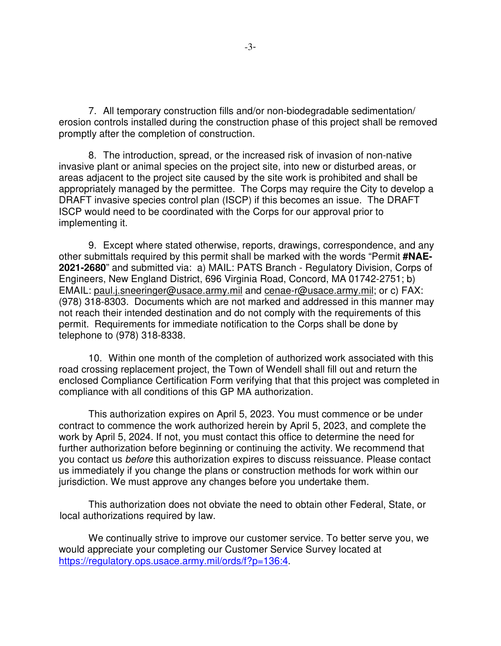7. All temporary construction fills and/or non-biodegradable sedimentation/ erosion controls installed during the construction phase of this project shall be removed promptly after the completion of construction.

8. The introduction, spread, or the increased risk of invasion of non-native invasive plant or animal species on the project site, into new or disturbed areas, or areas adjacent to the project site caused by the site work is prohibited and shall be appropriately managed by the permittee. The Corps may require the City to develop a DRAFT invasive species control plan (ISCP) if this becomes an issue. The DRAFT ISCP would need to be coordinated with the Corps for our approval prior to implementing it.

9. Except where stated otherwise, reports, drawings, correspondence, and any other submittals required by this permit shall be marked with the words "Permit **#NAE-2021-2680**" and submitted via: a) MAIL: PATS Branch - Regulatory Division, Corps of Engineers, New England District, 696 Virginia Road, Concord, MA 01742-2751; b) EMAIL: paul.j.sneeringer@usace.army.mil and [cenae-r@usace.army.mil;](mailto:cenae-r@usace.army.mil) or c) FAX: (978) 318-8303. Documents which are not marked and addressed in this manner may not reach their intended destination and do not comply with the requirements of this permit. Requirements for immediate notification to the Corps shall be done by telephone to (978) 318-8338.

10. Within one month of the completion of authorized work associated with this road crossing replacement project, the Town of Wendell shall fill out and return the enclosed Compliance Certification Form verifying that that this project was completed in compliance with all conditions of this GP MA authorization.

 This authorization expires on April 5, 2023. You must commence or be under contract to commence the work authorized herein by April 5, 2023, and complete the work by April 5, 2024. If not, you must contact this office to determine the need for further authorization before beginning or continuing the activity. We recommend that you contact us before this authorization expires to discuss reissuance. Please contact us immediately if you change the plans or construction methods for work within our jurisdiction. We must approve any changes before you undertake them.

 This authorization does not obviate the need to obtain other Federal, State, or local authorizations required by law.

 We continually strive to improve our customer service. To better serve you, we would appreciate your completing our Customer Service Survey located at [https://regulatory.ops.usace.army.mil/ords/f?p=136:4.](https://regulatory.ops.usace.army.mil/ords/f?p=136:4)